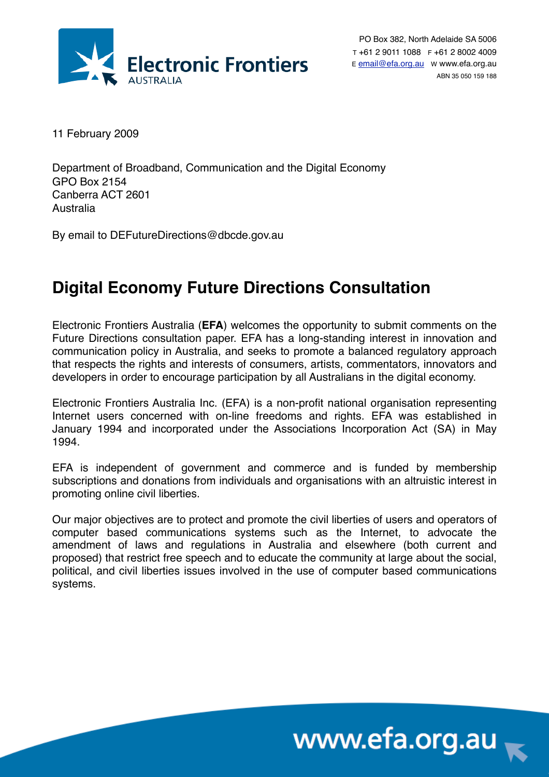

PO Box 382, North Adelaide SA 5006 T +61 2 9011 1088 F +61 2 8002 4009 E [email@efa.org.au](mailto:email@efa.org.au)  w www.efa.org.au ABN 35 050 159 188

11 February 2009

Department of Broadband, Communication and the Digital Economy GPO Box 2154 Canberra ACT 2601 Australia

By email to DEFutureDirections@dbcde.gov.au

# **Digital Economy Future Directions Consultation**

Electronic Frontiers Australia (**EFA**) welcomes the opportunity to submit comments on the Future Directions consultation paper. EFA has a long-standing interest in innovation and communication policy in Australia, and seeks to promote a balanced regulatory approach that respects the rights and interests of consumers, artists, commentators, innovators and developers in order to encourage participation by all Australians in the digital economy.

Electronic Frontiers Australia Inc. (EFA) is a non-profit national organisation representing Internet users concerned with on-line freedoms and rights. EFA was established in January 1994 and incorporated under the Associations Incorporation Act (SA) in May 1994.

EFA is independent of government and commerce and is funded by membership subscriptions and donations from individuals and organisations with an altruistic interest in promoting online civil liberties.

Our major objectives are to protect and promote the civil liberties of users and operators of computer based communications systems such as the Internet, to advocate the amendment of laws and regulations in Australia and elsewhere (both current and proposed) that restrict free speech and to educate the community at large about the social, political, and civil liberties issues involved in the use of computer based communications systems.

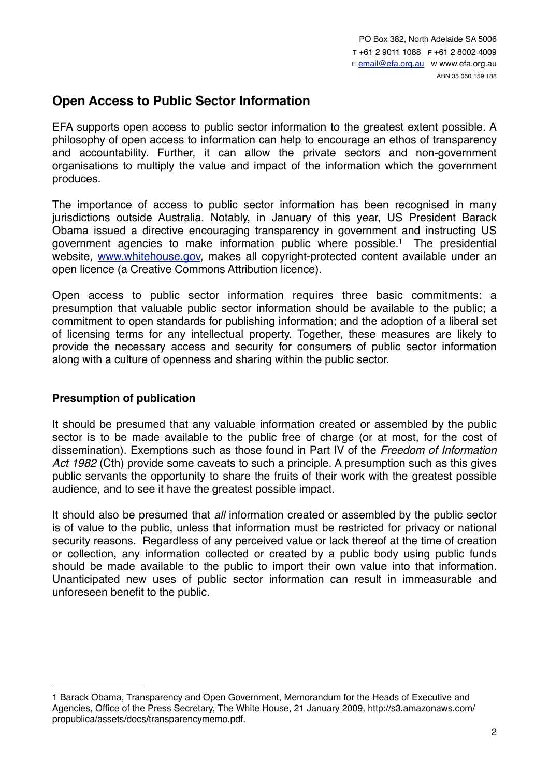# **Open Access to Public Sector Information**

EFA supports open access to public sector information to the greatest extent possible. A philosophy of open access to information can help to encourage an ethos of transparency and accountability. Further, it can allow the private sectors and non-government organisations to multiply the value and impact of the information which the government produces.

The importance of access to public sector information has been recognised in many jurisdictions outside Australia. Notably, in January of this year, US President Barack Obama issued a directive encouraging transparency in government and instructing US government agencies to make information public where possible.[1](#page-1-0) The presidential website, [www.whitehouse.gov](http://www.whitehouse.gov), makes all copyright-protected content available under an open licence (a Creative Commons Attribution licence).

Open access to public sector information requires three basic commitments: a presumption that valuable public sector information should be available to the public; a commitment to open standards for publishing information; and the adoption of a liberal set of licensing terms for any intellectual property. Together, these measures are likely to provide the necessary access and security for consumers of public sector information along with a culture of openness and sharing within the public sector.

### **Presumption of publication**

It should be presumed that any valuable information created or assembled by the public sector is to be made available to the public free of charge (or at most, for the cost of dissemination). Exemptions such as those found in Part IV of the *Freedom of Information Act 1982* (Cth) provide some caveats to such a principle. A presumption such as this gives public servants the opportunity to share the fruits of their work with the greatest possible audience, and to see it have the greatest possible impact.

It should also be presumed that *all* information created or assembled by the public sector is of value to the public, unless that information must be restricted for privacy or national security reasons. Regardless of any perceived value or lack thereof at the time of creation or collection, any information collected or created by a public body using public funds should be made available to the public to import their own value into that information. Unanticipated new uses of public sector information can result in immeasurable and unforeseen benefit to the public.

<span id="page-1-0"></span><sup>1</sup> Barack Obama, Transparency and Open Government, Memorandum for the Heads of Executive and Agencies, Office of the Press Secretary, The White House, 21 January 2009, [http://s3.amazonaws.com/](http://s3.amazonaws.com/propublica/assets/docs/transparencymemo.pdf) [propublica/assets/docs/transparencymemo.pdf](http://s3.amazonaws.com/propublica/assets/docs/transparencymemo.pdf).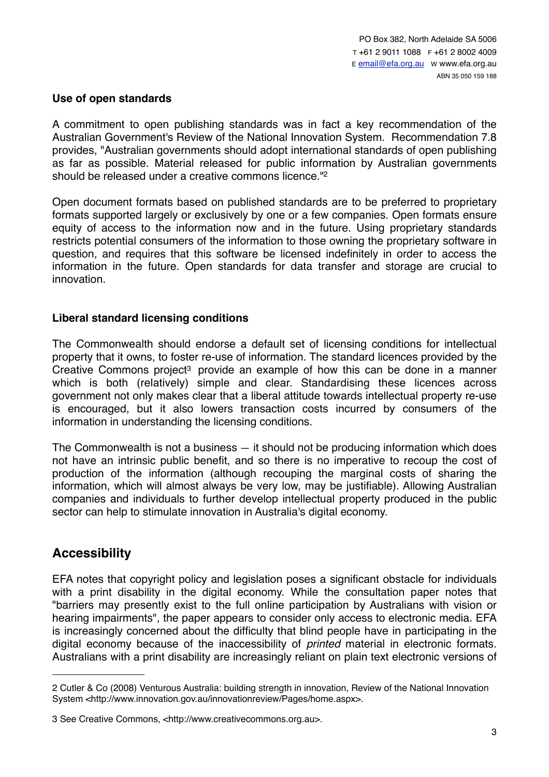#### **Use of open standards**

A commitment to open publishing standards was in fact a key recommendation of the Australian Government's Review of the National Innovation System. Recommendation 7.8 provides, "Australian governments should adopt international standards of open publishing as far as possible. Material released for public information by Australian governments should be released under a creative commons licence.["2](#page-2-0)

Open document formats based on published standards are to be preferred to proprietary formats supported largely or exclusively by one or a few companies. Open formats ensure equity of access to the information now and in the future. Using proprietary standards restricts potential consumers of the information to those owning the proprietary software in question, and requires that this software be licensed indefinitely in order to access the information in the future. Open standards for data transfer and storage are crucial to innovation.

#### **Liberal standard licensing conditions**

The Commonwealth should endorse a default set of licensing conditions for intellectual property that it owns, to foster re-use of information. The standard licences provided by the Creative Commons project<sup>3</sup> provide an example of how this can be done in a manner which is both (relatively) simple and clear. Standardising these licences across government not only makes clear that a liberal attitude towards intellectual property re-use is encouraged, but it also lowers transaction costs incurred by consumers of the information in understanding the licensing conditions.

The Commonwealth is not a business — it should not be producing information which does not have an intrinsic public benefit, and so there is no imperative to recoup the cost of production of the information (although recouping the marginal costs of sharing the information, which will almost always be very low, may be justifiable). Allowing Australian companies and individuals to further develop intellectual property produced in the public sector can help to stimulate innovation in Australia's digital economy.

### **Accessibility**

EFA notes that copyright policy and legislation poses a significant obstacle for individuals with a print disability in the digital economy. While the consultation paper notes that "barriers may presently exist to the full online participation by Australians with vision or hearing impairments", the paper appears to consider only access to electronic media. EFA is increasingly concerned about the difficulty that blind people have in participating in the digital economy because of the inaccessibility of *printed* material in electronic formats. Australians with a print disability are increasingly reliant on plain text electronic versions of

<span id="page-2-0"></span><sup>2</sup> Cutler & Co (2008) Venturous Australia: building strength in innovation, Review of the National Innovation System <<http://www.innovation.gov.au/innovationreview/Pages/home.aspx>>.

<span id="page-2-1"></span><sup>3</sup> See Creative Commons, <[http://www.creativecommons.org.au>](http://www.creativecommons.org.au).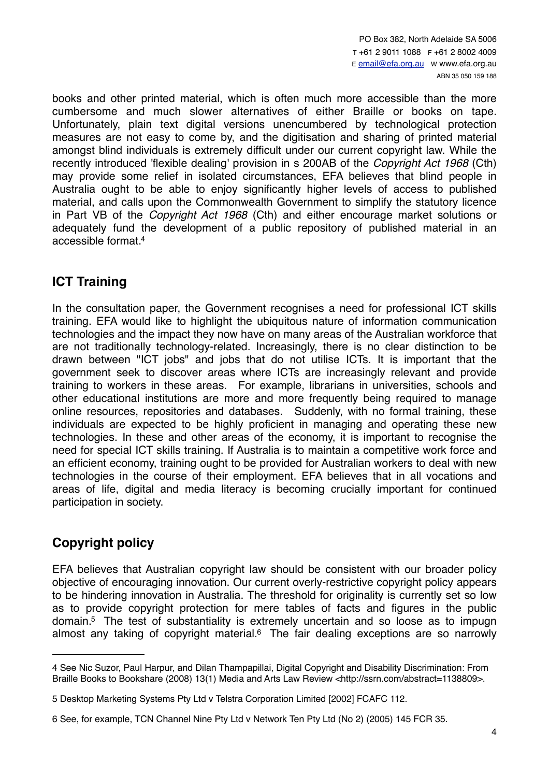books and other printed material, which is often much more accessible than the more cumbersome and much slower alternatives of either Braille or books on tape. Unfortunately, plain text digital versions unencumbered by technological protection measures are not easy to come by, and the digitisation and sharing of printed material amongst blind individuals is extremely difficult under our current copyright law. While the recently introduced 'flexible dealing' provision in s 200AB of the *Copyright Act 1968* (Cth) may provide some relief in isolated circumstances, EFA believes that blind people in Australia ought to be able to enjoy significantly higher levels of access to published material, and calls upon the Commonwealth Government to simplify the statutory licence in Part VB of the *Copyright Act 1968* (Cth) and either encourage market solutions or adequately fund the development of a public repository of published material in an accessible format[.4](#page-3-0)

# **ICT Training**

In the consultation paper, the Government recognises a need for professional ICT skills training. EFA would like to highlight the ubiquitous nature of information communication technologies and the impact they now have on many areas of the Australian workforce that are not traditionally technology-related. Increasingly, there is no clear distinction to be drawn between "ICT jobs" and jobs that do not utilise ICTs. It is important that the government seek to discover areas where ICTs are increasingly relevant and provide training to workers in these areas. For example, librarians in universities, schools and other educational institutions are more and more frequently being required to manage online resources, repositories and databases. Suddenly, with no formal training, these individuals are expected to be highly proficient in managing and operating these new technologies. In these and other areas of the economy, it is important to recognise the need for special ICT skills training. If Australia is to maintain a competitive work force and an efficient economy, training ought to be provided for Australian workers to deal with new technologies in the course of their employment. EFA believes that in all vocations and areas of life, digital and media literacy is becoming crucially important for continued participation in society.

# **Copyright policy**

EFA believes that Australian copyright law should be consistent with our broader policy objective of encouraging innovation. Our current overly-restrictive copyright policy appears to be hindering innovation in Australia. The threshold for originality is currently set so low as to provide copyright protection for mere tables of facts and figures in the public domain[.5](#page-3-1) The test of substantiality is extremely uncertain and so loose as to impugn almost any taking of copyright material.<sup>6</sup> The fair dealing exceptions are so narrowly

<span id="page-3-0"></span><sup>4</sup> See Nic Suzor, Paul Harpur, and Dilan Thampapillai, Digital Copyright and Disability Discrimination: From Braille Books to Bookshare (2008) 13(1) Media and Arts Law Review [<http://ssrn.com/abstract=1138809](http://ssrn.com/abstract=1138809)>.

<span id="page-3-1"></span><sup>5</sup> Desktop Marketing Systems Pty Ltd v Telstra Corporation Limited [2002] FCAFC 112.

<span id="page-3-2"></span><sup>6</sup> See, for example, TCN Channel Nine Pty Ltd v Network Ten Pty Ltd (No 2) (2005) 145 FCR 35.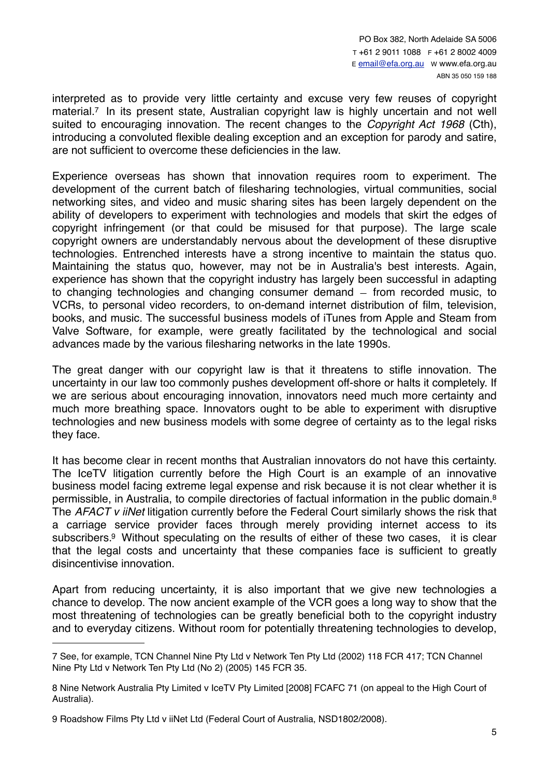interpreted as to provide very little certainty and excuse very few reuses of copyright material.[7](#page-4-0) In its present state, Australian copyright law is highly uncertain and not well suited to encouraging innovation. The recent changes to the *Copyright Act 1968* (Cth), introducing a convoluted flexible dealing exception and an exception for parody and satire, are not sufficient to overcome these deficiencies in the law.

Experience overseas has shown that innovation requires room to experiment. The development of the current batch of filesharing technologies, virtual communities, social networking sites, and video and music sharing sites has been largely dependent on the ability of developers to experiment with technologies and models that skirt the edges of copyright infringement (or that could be misused for that purpose). The large scale copyright owners are understandably nervous about the development of these disruptive technologies. Entrenched interests have a strong incentive to maintain the status quo. Maintaining the status quo, however, may not be in Australia's best interests. Again, experience has shown that the copyright industry has largely been successful in adapting to changing technologies and changing consumer demand — from recorded music, to VCRs, to personal video recorders, to on-demand internet distribution of film, television, books, and music. The successful business models of iTunes from Apple and Steam from Valve Software, for example, were greatly facilitated by the technological and social advances made by the various filesharing networks in the late 1990s.

The great danger with our copyright law is that it threatens to stifle innovation. The uncertainty in our law too commonly pushes development off-shore or halts it completely. If we are serious about encouraging innovation, innovators need much more certainty and much more breathing space. Innovators ought to be able to experiment with disruptive technologies and new business models with some degree of certainty as to the legal risks they face.

It has become clear in recent months that Australian innovators do not have this certainty. The IceTV litigation currently before the High Court is an example of an innovative business model facing extreme legal expense and risk because it is not clear whether it is permissible, in Australia, to compile directories of factual information in the public domain.[8](#page-4-1) The *AFACT v iiNet* litigation currently before the Federal Court similarly shows the risk that a carriage service provider faces through merely providing internet access to its subscribers[.9](#page-4-2) Without speculating on the results of either of these two cases, it is clear that the legal costs and uncertainty that these companies face is sufficient to greatly disincentivise innovation.

Apart from reducing uncertainty, it is also important that we give new technologies a chance to develop. The now ancient example of the VCR goes a long way to show that the most threatening of technologies can be greatly beneficial both to the copyright industry and to everyday citizens. Without room for potentially threatening technologies to develop,

<span id="page-4-0"></span><sup>7</sup> See, for example, TCN Channel Nine Pty Ltd v Network Ten Pty Ltd (2002) 118 FCR 417; TCN Channel Nine Pty Ltd v Network Ten Pty Ltd (No 2) (2005) 145 FCR 35.

<span id="page-4-1"></span><sup>8</sup> Nine Network Australia Pty Limited v IceTV Pty Limited [2008] FCAFC 71 (on appeal to the High Court of Australia).

<span id="page-4-2"></span><sup>9</sup> Roadshow Films Pty Ltd v iiNet Ltd (Federal Court of Australia, NSD1802/2008).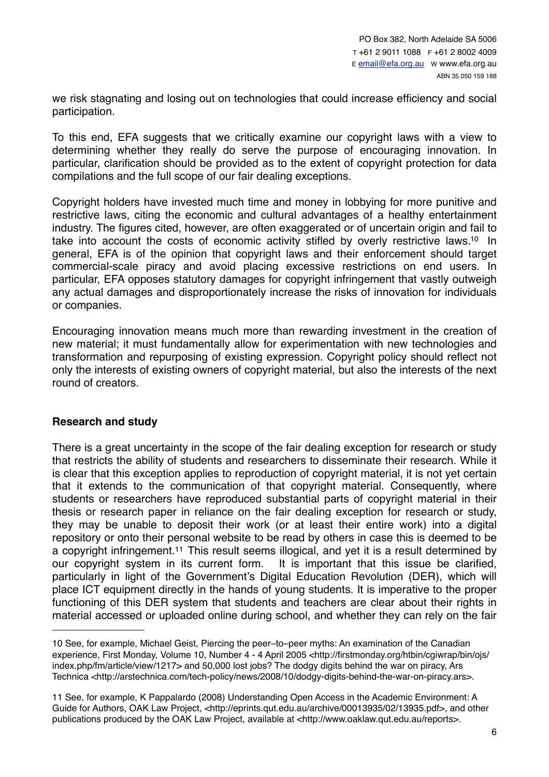we risk stagnating and losing out on technologies that could increase efficiency and social participation.

To this end, EFA suggests that we critically examine our copyright laws with a view to determining whether they really do serve the purpose of encouraging innovation. In particular, clarification should be provided as to the extent of copyright protection for data compilations and the full scope of our fair dealing exceptions.

Copyright holders have invested much time and money in lobbying for more punitive and restrictive laws, citing the economic and cultural advantages of a healthy entertainment industry. The figures cited, however, are often exaggerated or of uncertain origin and fail to take into account the costs of economic activity stifled by overly restrictive laws.<sup>10</sup> In general, EFA is of the opinion that copyright laws and their enforcement should target commercial-scale piracy and avoid placing excessive restrictions on end users. In particular, EFA opposes statutory damages for copyright infringement that vastly outweigh any actual damages and disproportionately increase the risks of innovation for individuals or companies.

Encouraging innovation means much more than rewarding investment in the creation of new material; it must fundamentally allow for experimentation with new technologies and transformation and repurposing of existing expression. Copyright policy should reflect not only the interests of existing owners of copyright material, but also the interests of the next round of creators.

### **Research and study**

There is a great uncertainty in the scope of the fair dealing exception for research or study that restricts the ability of students and researchers to disseminate their research. While it is clear that this exception applies to reproduction of copyright material, it is not yet certain that it extends to the communication of that copyright material. Consequently, where students or researchers have reproduced substantial parts of copyright material in their thesis or research paper in reliance on the fair dealing exception for research or study, they may be unable to deposit their work (or at least their entire work) into a digital repository or onto their personal website to be read by others in case this is deemed to be a copyright infringement.<sup>11</sup> This result seems illogical, and yet it is a result determined by our copyright system in its current form. It is important that this issue be clarified, particularly in light of the Government's Digital Education Revolution (DER), which will place ICT equipment directly in the hands of young students. It is imperative to the proper functioning of this DER system that students and teachers are clear about their rights in material accessed or uploaded online during school, and whether they can rely on the fair

<span id="page-5-0"></span><sup>10</sup> See, for example, Michael Geist, Piercing the peer–to–peer myths: An examination of the Canadian experience, First Monday, Volume 10, Number 4 - 4 April 2005 <[http://firstmonday.org/htbin/cgiwrap/bin/ojs/](http://firstmonday.org/htbin/cgiwrap/bin/ojs/index.php/fm/article/view/1217) [index.php/fm/article/view/1217](http://firstmonday.org/htbin/cgiwrap/bin/ojs/index.php/fm/article/view/1217)> and 50,000 lost jobs? The dodgy digits behind the war on piracy, Ars Technica <<http://arstechnica.com/tech-policy/news/2008/10/dodgy-digits-behind-the-war-on-piracy.ars>>.

<span id="page-5-1"></span><sup>11</sup> See, for example, K Pappalardo (2008) Understanding Open Access in the Academic Environment: A Guide for Authors, OAK Law Project, <<http://eprints.qut.edu.au/archive/00013935/02/13935.pdf>>, and other publications produced by the OAK Law Project, available at <<http://www.oaklaw.qut.edu.au/reports>>.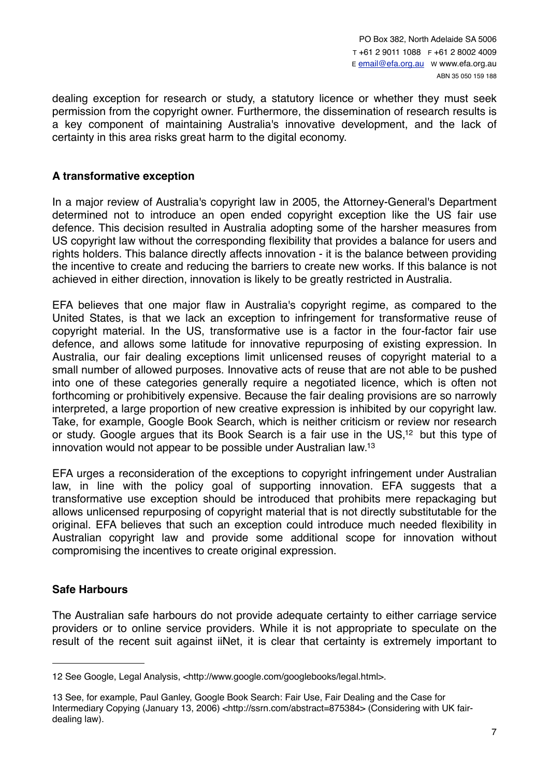dealing exception for research or study, a statutory licence or whether they must seek permission from the copyright owner. Furthermore, the dissemination of research results is a key component of maintaining Australia's innovative development, and the lack of certainty in this area risks great harm to the digital economy.

### **A transformative exception**

In a major review of Australia's copyright law in 2005, the Attorney-General's Department determined not to introduce an open ended copyright exception like the US fair use defence. This decision resulted in Australia adopting some of the harsher measures from US copyright law without the corresponding flexibility that provides a balance for users and rights holders. This balance directly affects innovation - it is the balance between providing the incentive to create and reducing the barriers to create new works. If this balance is not achieved in either direction, innovation is likely to be greatly restricted in Australia.

EFA believes that one major flaw in Australia's copyright regime, as compared to the United States, is that we lack an exception to infringement for transformative reuse of copyright material. In the US, transformative use is a factor in the four-factor fair use defence, and allows some latitude for innovative repurposing of existing expression. In Australia, our fair dealing exceptions limit unlicensed reuses of copyright material to a small number of allowed purposes. Innovative acts of reuse that are not able to be pushed into one of these categories generally require a negotiated licence, which is often not forthcoming or prohibitively expensive. Because the fair dealing provisions are so narrowly interpreted, a large proportion of new creative expression is inhibited by our copyright law. Take, for example, Google Book Search, which is neither criticism or review nor research or study. Google argues that its Book Search is a fair use in the US[,12](#page-6-0) but this type of innovation would not appear to be possible under Australian law[.13](#page-6-1)

EFA urges a reconsideration of the exceptions to copyright infringement under Australian law, in line with the policy goal of supporting innovation. EFA suggests that a transformative use exception should be introduced that prohibits mere repackaging but allows unlicensed repurposing of copyright material that is not directly substitutable for the original. EFA believes that such an exception could introduce much needed flexibility in Australian copyright law and provide some additional scope for innovation without compromising the incentives to create original expression.

### **Safe Harbours**

The Australian safe harbours do not provide adequate certainty to either carriage service providers or to online service providers. While it is not appropriate to speculate on the result of the recent suit against iiNet, it is clear that certainty is extremely important to

<span id="page-6-0"></span><sup>12</sup> See Google, Legal Analysis, [<http://www.google.com/googlebooks/legal.html>](http://www.google.com/googlebooks/legal.html).

<span id="page-6-1"></span><sup>13</sup> See, for example, Paul Ganley, Google Book Search: Fair Use, Fair Dealing and the Case for Intermediary Copying (January 13, 2006) [<http://ssrn.com/abstract=875384](http://ssrn.com/abstract=875384)> (Considering with UK fairdealing law).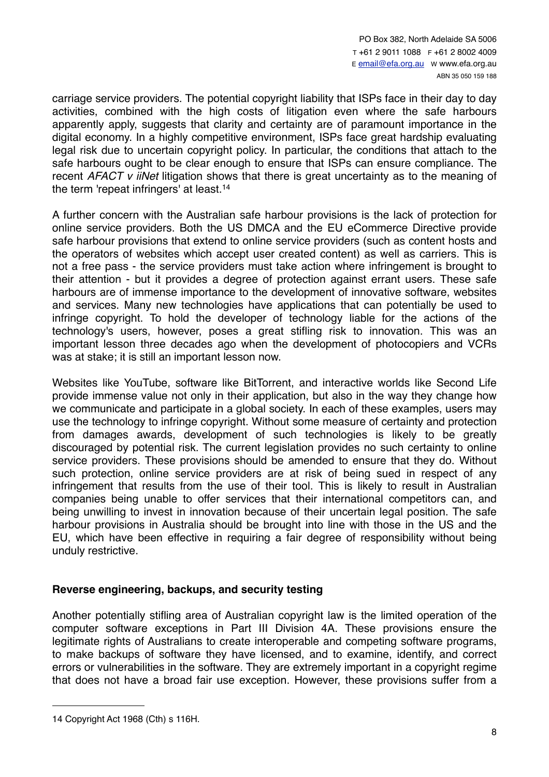carriage service providers. The potential copyright liability that ISPs face in their day to day activities, combined with the high costs of litigation even where the safe harbours apparently apply, suggests that clarity and certainty are of paramount importance in the digital economy. In a highly competitive environment, ISPs face great hardship evaluating legal risk due to uncertain copyright policy. In particular, the conditions that attach to the safe harbours ought to be clear enough to ensure that ISPs can ensure compliance. The recent *AFACT v iiNet* litigation shows that there is great uncertainty as to the meaning of the term 'repeat infringers' at least.[14](#page-7-0)

A further concern with the Australian safe harbour provisions is the lack of protection for online service providers. Both the US DMCA and the EU eCommerce Directive provide safe harbour provisions that extend to online service providers (such as content hosts and the operators of websites which accept user created content) as well as carriers. This is not a free pass - the service providers must take action where infringement is brought to their attention - but it provides a degree of protection against errant users. These safe harbours are of immense importance to the development of innovative software, websites and services. Many new technologies have applications that can potentially be used to infringe copyright. To hold the developer of technology liable for the actions of the technology's users, however, poses a great stifling risk to innovation. This was an important lesson three decades ago when the development of photocopiers and VCRs was at stake; it is still an important lesson now.

Websites like YouTube, software like BitTorrent, and interactive worlds like Second Life provide immense value not only in their application, but also in the way they change how we communicate and participate in a global society. In each of these examples, users may use the technology to infringe copyright. Without some measure of certainty and protection from damages awards, development of such technologies is likely to be greatly discouraged by potential risk. The current legislation provides no such certainty to online service providers. These provisions should be amended to ensure that they do. Without such protection, online service providers are at risk of being sued in respect of any infringement that results from the use of their tool. This is likely to result in Australian companies being unable to offer services that their international competitors can, and being unwilling to invest in innovation because of their uncertain legal position. The safe harbour provisions in Australia should be brought into line with those in the US and the EU, which have been effective in requiring a fair degree of responsibility without being unduly restrictive.

### **Reverse engineering, backups, and security testing**

Another potentially stifling area of Australian copyright law is the limited operation of the computer software exceptions in Part III Division 4A. These provisions ensure the legitimate rights of Australians to create interoperable and competing software programs, to make backups of software they have licensed, and to examine, identify, and correct errors or vulnerabilities in the software. They are extremely important in a copyright regime that does not have a broad fair use exception. However, these provisions suffer from a

<span id="page-7-0"></span><sup>14</sup> Copyright Act 1968 (Cth) s 116H.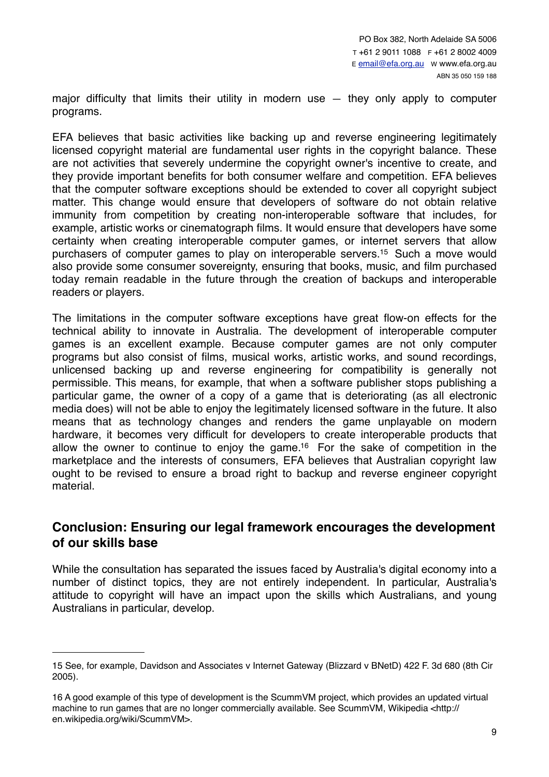major difficulty that limits their utility in modern use  $-$  they only apply to computer programs.

EFA believes that basic activities like backing up and reverse engineering legitimately licensed copyright material are fundamental user rights in the copyright balance. These are not activities that severely undermine the copyright owner's incentive to create, and they provide important benefits for both consumer welfare and competition. EFA believes that the computer software exceptions should be extended to cover all copyright subject matter. This change would ensure that developers of software do not obtain relative immunity from competition by creating non-interoperable software that includes, for example, artistic works or cinematograph films. It would ensure that developers have some certainty when creating interoperable computer games, or internet servers that allow purchasers of computer games to play on interoperable servers.[15](#page-8-0) Such a move would also provide some consumer sovereignty, ensuring that books, music, and film purchased today remain readable in the future through the creation of backups and interoperable readers or players.

The limitations in the computer software exceptions have great flow-on effects for the technical ability to innovate in Australia. The development of interoperable computer games is an excellent example. Because computer games are not only computer programs but also consist of films, musical works, artistic works, and sound recordings, unlicensed backing up and reverse engineering for compatibility is generally not permissible. This means, for example, that when a software publisher stops publishing a particular game, the owner of a copy of a game that is deteriorating (as all electronic media does) will not be able to enjoy the legitimately licensed software in the future. It also means that as technology changes and renders the game unplayable on modern hardware, it becomes very difficult for developers to create interoperable products that allow the owner to continue to enjoy the game[.16](#page-8-1) For the sake of competition in the marketplace and the interests of consumers, EFA believes that Australian copyright law ought to be revised to ensure a broad right to backup and reverse engineer copyright material.

## **Conclusion: Ensuring our legal framework encourages the development of our skills base**

While the consultation has separated the issues faced by Australia's digital economy into a number of distinct topics, they are not entirely independent. In particular, Australia's attitude to copyright will have an impact upon the skills which Australians, and young Australians in particular, develop.

<span id="page-8-0"></span><sup>15</sup> See, for example, Davidson and Associates v Internet Gateway (Blizzard v BNetD) 422 F. 3d 680 (8th Cir 2005).

<span id="page-8-1"></span><sup>16</sup> A good example of this type of development is the ScummVM project, which provides an updated virtual machine to run games that are no longer commercially available. See ScummVM, Wikipedia <[http://](http://en.wikipedia.org/wiki/ScummVM) [en.wikipedia.org/wiki/ScummVM](http://en.wikipedia.org/wiki/ScummVM)>.